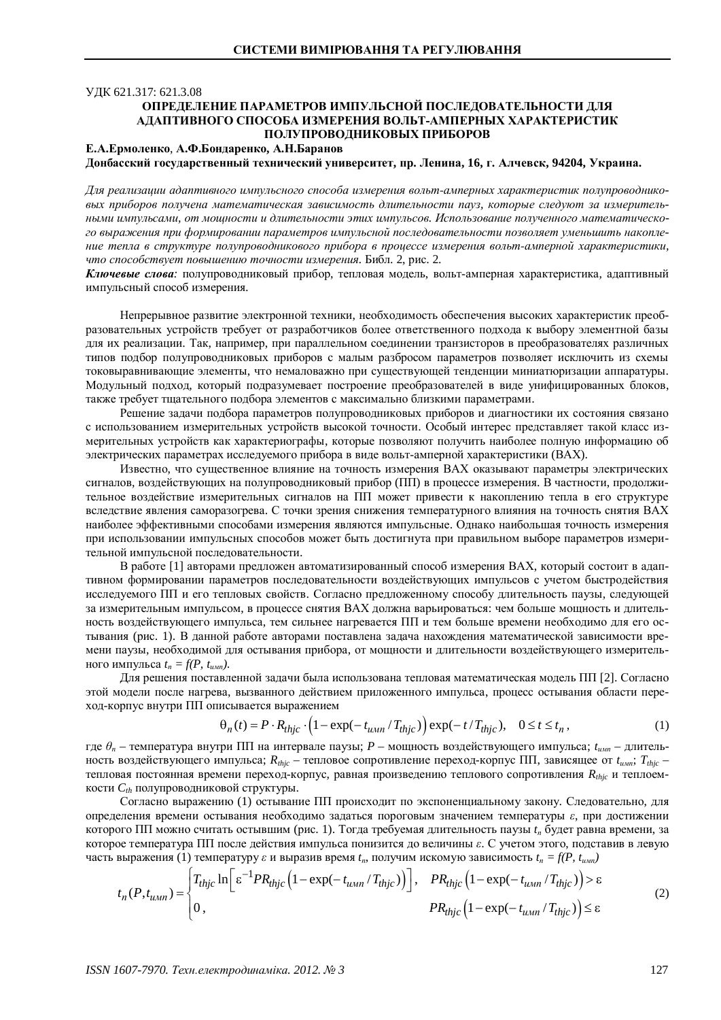## ɍȾɄ 621.317: 621.3.08 **ОПРЕДЕЛЕНИЕ ПАРАМЕТРОВ ИМПУЛЬСНОЙ ПОСЛЕДОВАТЕЛЬНОСТИ ДЛЯ** АДАПТИВНОГО СПОСОБА ИЗМЕРЕНИЯ ВОЛЬТ-АМПЕРНЫХ ХАРАКТЕРИСТИК ПОЛУПРОВОДНИКОВЫХ ПРИБОРОВ

## Е.А.Ермоленко, А.Ф.Бондаренко, А.Н.Баранов **Ⱦɨɧɛɚɫɫɤɢɣɝɨɫɭɞɚɪɫɬɜɟɧɧɵɣɬɟɯɧɢɱɟɫɤɢɣɭɧɢɜɟɪɫɢɬɟɬ, ɩɪ. Ʌɟɧɢɧɚ, 16, ɝ. Ⱥɥɱɟɜɫɤ, 94204, ɍɤɪɚɢɧɚ.**

Для реализации адаптивного импульсного способа измерения вольт-амперных характеристик полупроводнико*ɜɵɯ ɩɪɢɛɨɪɨɜ ɩɨɥɭɱɟɧɚɦɚɬɟɦɚɬɢɱɟɫɤɚɹ ɡɚɜɢɫɢɦɨɫɬɶɞɥɢɬɟɥɶɧɨɫɬɢ ɩɚɭɡ, ɤɨɬɨɪɵɟɫɥɟɞɭɸɬ ɡɚ ɢɡɦɟɪɢɬɟɥɶ-* $H$ ыми импульсами, от мощности и длительности этих импульсов. Использование полученного математического выражения при формировании параметров импульсной последовательности позволяет уменьшить накопление тепла в структуре полупроводникового прибора в процессе измерения вольт-амперной характеристики, что способствует повышению точности измерения. Библ. 2, рис. 2.

Ключевые слова: полупроводниковый прибор, тепловая модель, вольт-амперная характеристика, адаптивный импульсный способ измерения.

Непрерывное развитие электронной техники, необходимость обеспечения высоких характеристик преобразовательных устройств требует от разработчиков более ответственного подхода к выбору элементной базы для их реализации. Так, например, при параллельном соединении транзисторов в преобразователях различных типов подбор полупроводниковых приборов с малым разбросом параметров позволяет исключить из схемы токовыравнивающие элементы, что немаловажно при существующей тенденции миниатюризации аппаратуры. Модульный подход, который подразумевает построение преобразователей в виде унифицированных блоков, также требует тщательного подбора элементов с максимально близкими параметрами.

Решение задачи подбора параметров полупроводниковых приборов и диагностики их состояния связано с использованием измерительных устройств высокой точности. Особый интерес представляет такой класс измерительных устройств как характериографы, которые позволяют получить наиболее полную информацию об электрических параметрах исследуемого прибора в виде вольт-амперной характеристики (ВАХ).

Известно, что существенное влияние на точность измерения ВАХ оказывают параметры электрических сигналов, воздействующих на полупроводниковый прибор (ПП) в процессе измерения. В частности, продолжительное воздействие измерительных сигналов на ПП может привести к накоплению тепла в его структуре вследствие явления саморазогрева. С точки зрения снижения температурного влияния на точность снятия ВАХ наиболее эффективными способами измерения являются импульсные. Однако наибольшая точность измерения при использовании импульсных способов может быть достигнута при правильном выборе параметров измерительной импульсной последовательности.

В работе [1] авторами предложен автоматизированный способ измерения ВАХ, который состоит в адаптивном формировании параметров последовательности воздействующих импульсов с учетом быстродействия исследуемого ПП и его тепловых свойств. Согласно предложенному способу длительность паузы, следующей за измерительным импульсом, в процессе снятия ВАХ должна варьироваться: чем больше мощность и длительность воздействующего импульса, тем сильнее нагревается ПП и тем больше времени необходимо для его остывания (рис. 1). В данной работе авторами поставлена задача нахождения математической зависимости времени паузы, необходимой для остывания прибора, от мощности и длительности воздействующего измеритель-<u>ного импульса</u>  $t_n = f(P, t_{num})$ .

Для решения поставленной задачи была использована тепловая математическая модель ПП [2]. Согласно этой модели после нагрева, вызванного действием приложенного импульса, процесс остывания области переход-корпус внутри ПП описывается выражением

$$
\Theta_n(t) = P \cdot R_{thjc} \cdot \left(1 - \exp(-t_{\text{num}}/T_{thjc})\right) \exp(-t/T_{thjc}), \quad 0 \le t \le t_n,
$$
\n(1)

где  $\theta_n$  – температура внутри ПП на интервале паузы; *P* – мощность воздействующего импульса;  $t_{u,m}$  – длительность воздействующего импульса;  $R_{thjc}$  – тепловое сопротивление переход-корпус ПП, зависящее от  $t_{u,mr}$ ;  $T_{thjc}$  – тепловая постоянная времени переход-корпус, равная произведению теплового сопротивления R<sub>thic</sub> и теплоемкости  $C_{th}$  полупроводниковой структуры.

Согласно выражению (1) остывание ПП происходит по экспоненциальному закону. Следовательно, для определения времени остывания необходимо задаться пороговым значением температуры  $\varepsilon$ , при достижении которого ПП можно считать остывшим (рис. 1). Тогда требуемая длительность паузы *t<sub>r</sub>*, будет равна времени, за которое температура ПП после действия импульса понизится до величины  $\varepsilon$ . С учетом этого, подставив в левую часть выражения (1) температуру  $\varepsilon$  и выразив время  $t_n$ , получим искомую зависимость  $t_n = f(P, t_{num})$ 

$$
t_n(P,t_{u \times n}) = \begin{cases} T_{thjc} \ln \Big[ \varepsilon^{-1} PR_{thjc} \Big( 1 - \exp(-t_{u \times n}/T_{thjc}) \Big) \Big], & PR_{thjc} \Big( 1 - \exp(-t_{u \times n}/T_{thjc}) \Big) > \varepsilon \\ 0, & PR_{thjc} \Big( 1 - \exp(-t_{u \times n}/T_{thjc}) \Big) \le \varepsilon \end{cases}
$$
(2)